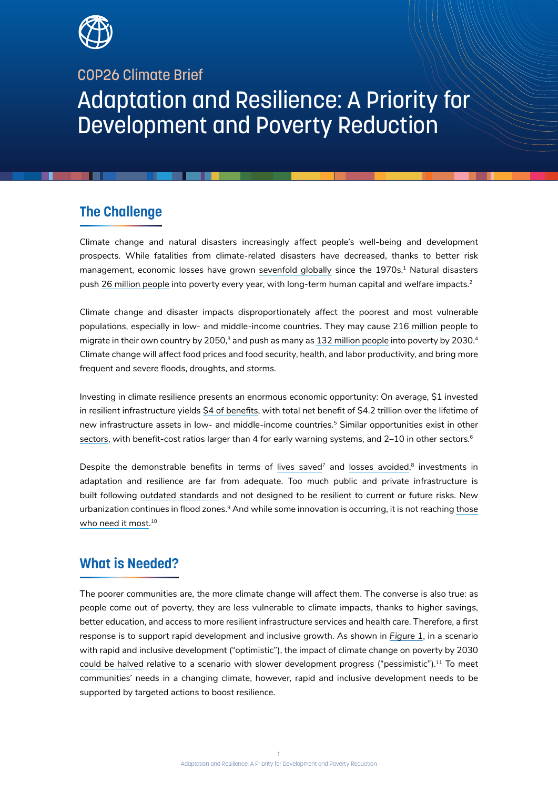

## COP26 Climate Brief

# Adaptation and Resilience: A Priority for Development and Poverty Reduction

## **The Challenge**

Climate change and natural disasters increasingly affect people's well-being and development prospects. While fatalities from climate-related disasters have decreased, thanks to better risk management, economic losses have grown sevenfold globally since the 1970s.<sup>1</sup> Natural disasters push 26 million people into poverty every year, with long-term human capital and welfare impacts.<sup>2</sup>

Climate change and disaster impacts disproportionately affect the poorest and most vulnerable populations, especially in low- and middle-income countries. They may cause 216 million people to migrate in their own country by 2050, $3$  and push as many as 132 million people into poverty by 2030. $4$ Climate change will affect food prices and food security, health, and labor productivity, and bring more frequent and severe floods, droughts, and storms.

Investing in climate resilience presents an enormous economic opportunity: On average, \$1 invested in resilient infrastructure yields \$4 of benefits, with total net benefit of \$4.2 trillion over the lifetime of new infrastructure assets in low- and middle-income countries.<sup>5</sup> Similar opportunities exist in other sectors, with benefit-cost ratios larger than 4 for early warning systems, and 2–10 in other sectors.<sup>6</sup>

Despite the demonstrable benefits in terms of lives saved<sup>7</sup> and losses avoided, $^8$  investments in adaptation and resilience are far from adequate. Too much public and private infrastructure is built following outdated standards and not designed to be resilient to current or future risks. New urbanization continues in flood zones.<sup>9</sup> And while some innovation is occurring, it is not reaching those who need it most. 10

# **What is Needed?**

The poorer communities are, the more climate change will affect them. The converse is also true: as people come out of poverty, they are less vulnerable to climate impacts, thanks to higher savings, better education, and access to more resilient infrastructure services and health care. Therefore, a first response is to support rapid development and inclusive growth. As shown in *Figure 1*, in a scenario with rapid and inclusive development ("optimistic"), the impact of climate change on poverty by 2030 could be halved relative to a scenario with slower development progress ("pessimistic").<sup>11</sup> To meet communities' needs in a changing climate, however, rapid and inclusive development needs to be supported by targeted actions to boost resilience.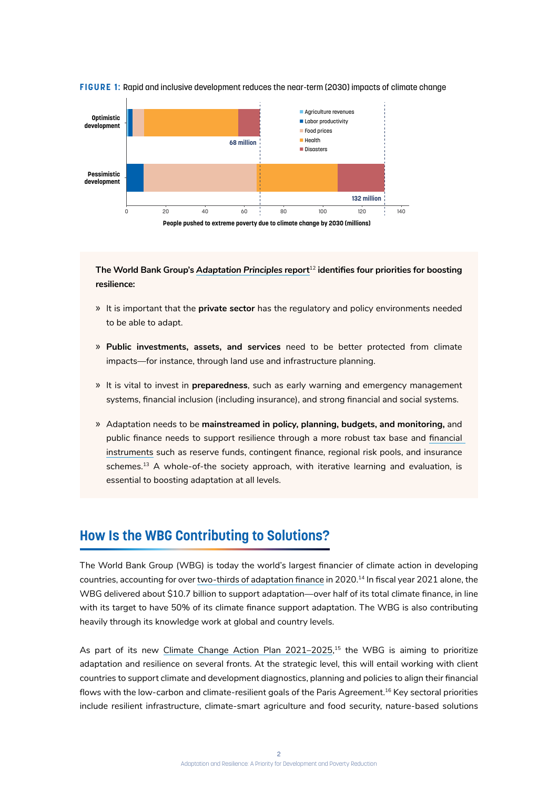

#### **FIGURE 1:** Rapid and inclusive development reduces the near-term (2030) impacts of climate change



**The World Bank Group's** *Adaptation Principles* **report**<sup>12</sup> **identifies four priorities for boosting resilience:** 

- » It is important that the **private sector** has the regulatory and policy environments needed to be able to adapt.
- » **Public investments, assets, and services** need to be better protected from climate impacts—for instance, through land use and infrastructure planning.
- » It is vital to invest in **preparedness**, such as early warning and emergency management systems, financial inclusion (including insurance), and strong financial and social systems.
- » Adaptation needs to be **mainstreamed in policy, planning, budgets, and monitoring,** and public finance needs to support resilience through a more robust tax base and financial instruments such as reserve funds, contingent finance, regional risk pools, and insurance schemes.<sup>13</sup> A whole-of-the society approach, with iterative learning and evaluation, is essential to boosting adaptation at all levels.

## **How Is the WBG Contributing to Solutions?**

The World Bank Group (WBG) is today the world's largest financier of climate action in developing countries, accounting for over two-thirds of adaptation finance in 2020.<sup>14</sup> In fiscal year 2021 alone, the WBG delivered about \$10.7 billion to support adaptation—over half of its total climate finance, in line with its target to have 50% of its climate finance support adaptation. The WBG is also contributing heavily through its knowledge work at global and country levels.

As part of its new Climate Change Action Plan 2021–2025, 15 the WBG is aiming to prioritize adaptation and resilience on several fronts. At the strategic level, this will entail working with client countries to support climate and development diagnostics, planning and policies to align their financial flows with the low-carbon and climate-resilient goals of the Paris Agreement.<sup>16</sup> Key sectoral priorities include resilient infrastructure, climate-smart agriculture and food security, nature-based solutions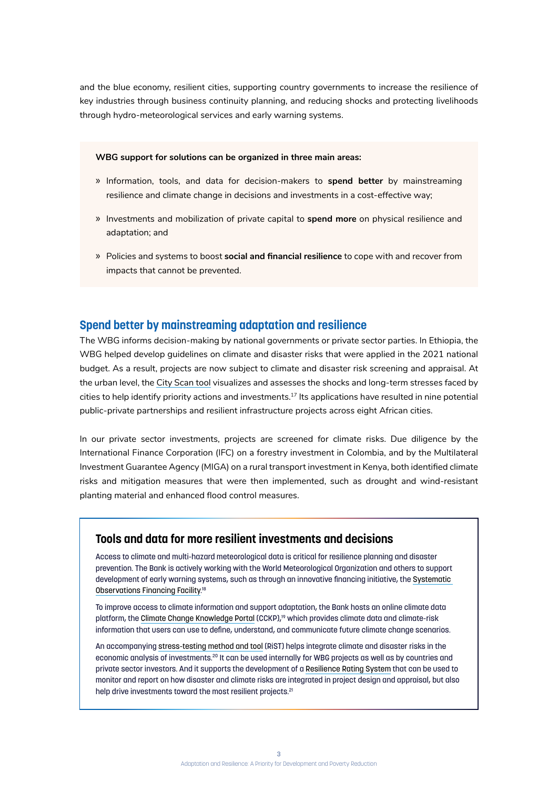and the blue economy, resilient cities, supporting country governments to increase the resilience of key industries through business continuity planning, and reducing shocks and protecting livelihoods through hydro-meteorological services and early warning systems.

#### **WBG support for solutions can be organized in three main areas:**

- » Information, tools, and data for decision-makers to **spend better** by mainstreaming resilience and climate change in decisions and investments in a cost-effective way;
- » Investments and mobilization of private capital to **spend more** on physical resilience and adaptation; and
- » Policies and systems to boost **social and financial resilience** to cope with and recover from impacts that cannot be prevented.

### **Spend better by mainstreaming adaptation and resilience**

The WBG informs decision-making by national governments or private sector parties. In Ethiopia, the WBG helped develop guidelines on climate and disaster risks that were applied in the 2021 national budget. As a result, projects are now subject to climate and disaster risk screening and appraisal. At the urban level, the City Scan tool visualizes and assesses the shocks and long-term stresses faced by cities to help identify priority actions and investments.17 Its applications have resulted in nine potential public-private partnerships and resilient infrastructure projects across eight African cities.

In our private sector investments, projects are screened for climate risks. Due diligence by the International Finance Corporation (IFC) on a forestry investment in Colombia, and by the Multilateral Investment Guarantee Agency (MIGA) on a rural transport investment in Kenya, both identified climate risks and mitigation measures that were then implemented, such as drought and wind‐resistant planting material and enhanced flood control measures.

#### **Tools and data for more resilient investments and decisions**

Access to climate and multi-hazard meteorological data is critical for resilience planning and disaster prevention. The Bank is actively working with the World Meteorological Organization and others to support development of early warning systems, such as through an innovative financing initiative, the Systematic Observations Financing Facility. 18

To improve access to climate information and support adaptation, the Bank hosts an online climate data platform, the Climate Change Knowledge Portal (CCKP),<sup>19</sup> which provides climate data and climate-risk information that users can use to define, understand, and communicate future climate change scenarios.

An accompanying stress-testing method and tool (RiST) helps integrate climate and disaster risks in the economic analysis of investments.20 It can be used internally for WBG projects as well as by countries and private sector investors. And it supports the development of a Resilience Rating System that can be used to monitor and report on how disaster and climate risks are integrated in project design and appraisal, but also help drive investments toward the most resilient projects.<sup>21</sup>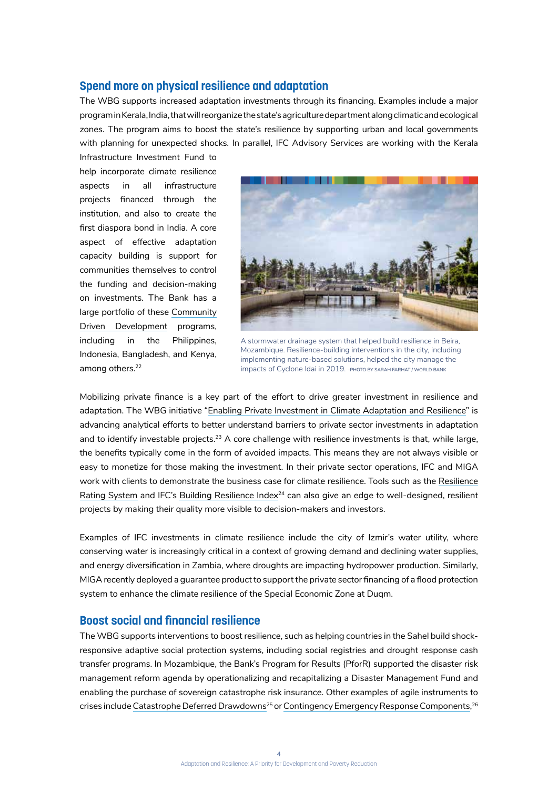#### **Spend more on physical resilience and adaptation**

The WBG supports increased adaptation investments through its financing. Examples include a major program in Kerala, India, that will reorganize the state's agriculture department along climatic and ecological zones. The program aims to boost the state's resilience by supporting urban and local governments with planning for unexpected shocks. In parallel, IFC Advisory Services are working with the Kerala

Infrastructure Investment Fund to help incorporate climate resilience aspects in all infrastructure projects financed through the institution, and also to create the first diaspora bond in India. A core aspect of effective adaptation capacity building is support for communities themselves to control the funding and decision-making on investments. The Bank has a large portfolio of these Community Driven Development programs, including in the Philippines, Indonesia, Bangladesh, and Kenya, among others.<sup>22</sup>



A stormwater drainage system that helped build resilience in Beira, Mozambique. Resilience-building interventions in the city, including implementing nature-based solutions, helped the city manage the impacts of Cyclone Idai in 2019. –PHOTO BY SARAH FARHAT / WORLD BANK

Mobilizing private finance is a key part of the effort to drive greater investment in resilience and adaptation. The WBG initiative "Enabling Private Investment in Climate Adaptation and Resilience" is advancing analytical efforts to better understand barriers to private sector investments in adaptation and to identify investable projects.<sup>23</sup> A core challenge with resilience investments is that, while large, the benefits typically come in the form of avoided impacts. This means they are not always visible or easy to monetize for those making the investment. In their private sector operations, IFC and MIGA work with clients to demonstrate the business case for climate resilience. Tools such as the Resilience Rating System and IFC's Building Resilience Index<sup>24</sup> can also give an edge to well-designed, resilient projects by making their quality more visible to decision-makers and investors.

Examples of IFC investments in climate resilience include the city of Izmir's water utility, where conserving water is increasingly critical in a context of growing demand and declining water supplies, and energy diversification in Zambia, where droughts are impacting hydropower production. Similarly, MIGA recently deployed a guarantee product to support the private sector financing of a flood protection system to enhance the climate resilience of the Special Economic Zone at Duqm.

#### **Boost social and financial resilience**

The WBG supports interventions to boost resilience, such as helping countries in the Sahel build shockresponsive adaptive social protection systems, including social registries and drought response cash transfer programs. In Mozambique, the Bank's Program for Results (PforR) supported the disaster risk management reform agenda by operationalizing and recapitalizing a Disaster Management Fund and enabling the purchase of sovereign catastrophe risk insurance. Other examples of agile instruments to crises include Catastrophe Deferred Drawdowns<sup>25</sup> or Contingency Emergency Response Components, <sup>26</sup>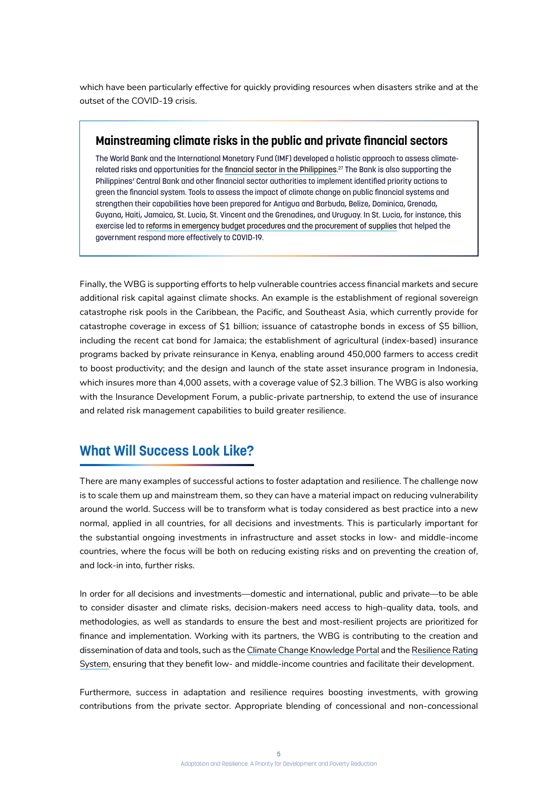which have been particularly effective for quickly providing resources when disasters strike and at the outset of the COVID-19 crisis.

## **Mainstreaming climate risks in the public and private financial sectors**

The World Bank and the International Monetary Fund (IMF) developed a holistic approach to assess climaterelated risks and opportunities for the financial sector in the Philippines. 27 The Bank is also supporting the Philippines' Central Bank and other financial sector authorities to implement identified priority actions to green the financial system. Tools to assess the impact of climate change on public financial systems and strengthen their capabilities have been prepared for Antigua and Barbuda, Belize, Dominica, Grenada, Guyana, Haiti, Jamaica, St. Lucia, St. Vincent and the Grenadines, and Uruguay. In St. Lucia, for instance, this exercise led to reforms in emergency budget procedures and the procurement of supplies that helped the government respond more effectively to COVID-19.

Finally, the WBG is supporting efforts to help vulnerable countries access financial markets and secure additional risk capital against climate shocks. An example is the establishment of regional sovereign catastrophe risk pools in the Caribbean, the Pacific, and Southeast Asia, which currently provide for catastrophe coverage in excess of \$1 billion; issuance of catastrophe bonds in excess of \$5 billion, including the recent cat bond for Jamaica; the establishment of agricultural (index-based) insurance programs backed by private reinsurance in Kenya, enabling around 450,000 farmers to access credit to boost productivity; and the design and launch of the state asset insurance program in Indonesia, which insures more than 4,000 assets, with a coverage value of \$2.3 billion. The WBG is also working with the Insurance Development Forum, a public-private partnership, to extend the use of insurance and related risk management capabilities to build greater resilience.

## **What Will Success Look Like?**

There are many examples of successful actions to foster adaptation and resilience. The challenge now is to scale them up and mainstream them, so they can have a material impact on reducing vulnerability around the world. Success will be to transform what is today considered as best practice into a new normal, applied in all countries, for all decisions and investments. This is particularly important for the substantial ongoing investments in infrastructure and asset stocks in low- and middle-income countries, where the focus will be both on reducing existing risks and on preventing the creation of, and lock-in into, further risks.

In order for *all* decisions and investments—domestic and international, public and private—to be able to consider disaster and climate risks, decision-makers need access to high-quality data, tools, and methodologies, as well as standards to ensure the best and most-resilient projects are prioritized for finance and implementation. Working with its partners, the WBG is contributing to the creation and dissemination of data and tools, such as the Climate Change Knowledge Portal and the Resilience Rating System, ensuring that they benefit low- and middle-income countries and facilitate their development.

Furthermore, success in adaptation and resilience requires boosting investments, with growing contributions from the private sector. Appropriate blending of concessional and non-concessional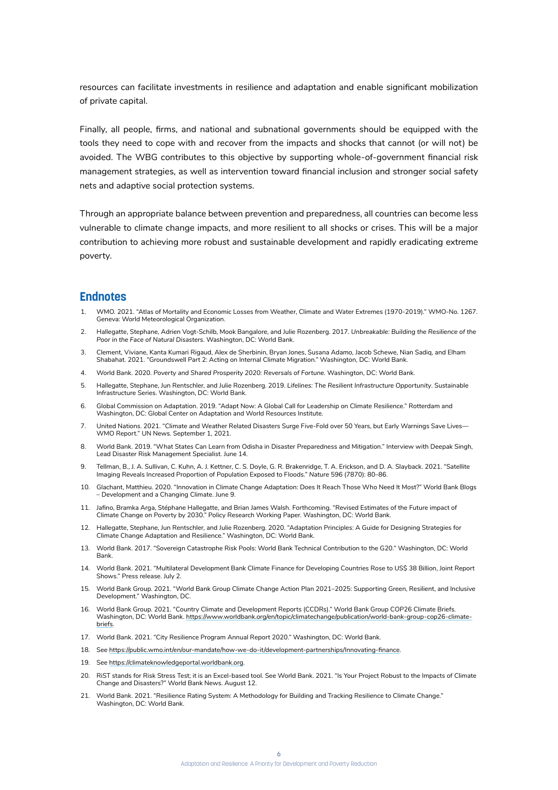resources can facilitate investments in resilience and adaptation and enable significant mobilization of private capital.

Finally, all people, firms, and national and subnational governments should be equipped with the tools they need to cope with and recover from the impacts and shocks that cannot (or will not) be avoided. The WBG contributes to this objective by supporting whole-of-government financial risk management strategies, as well as intervention toward financial inclusion and stronger social safety nets and adaptive social protection systems.

Through an appropriate balance between prevention and preparedness, all countries can become less vulnerable to climate change impacts, and more resilient to all shocks or crises. This will be a major contribution to achieving more robust and sustainable development and rapidly eradicating extreme poverty.

#### **Endnotes**

- 1. WMO. 2021. "Atlas of Mortality and Economic Losses from Weather, Climate and Water Extremes (1970-2019)." WMO-No. 1267. Geneva: World Meteorological Organization.
- 2. Hallegatte, Stephane, Adrien Vogt-Schilb, Mook Bangalore, and Julie Rozenberg. 2017. *Unbreakable: Building the Resilience of the Poor in the Face of Natural Disasters*. Washington, DC: World Bank.
- 3. Clement, Viviane, Kanta Kumari Rigaud, Alex de Sherbinin, Bryan Jones, Susana Adamo, Jacob Schewe, Nian Sadiq, and Elham Shabahat. 2021. "Groundswell Part 2: Acting on Internal Climate Migration." Washington, DC: World Bank.
- 4. World Bank. 2020. *Poverty and Shared Prosperity 2020: Reversals of Fortune*. Washington, DC: World Bank.
- 5. Hallegatte, Stephane, Jun Rentschler, and Julie Rozenberg. 2019. *Lifelines: The Resilient Infrastructure Opportunity*. Sustainable Infrastructure Series. Washington, DC: World Bank.
- 6. Global Commission on Adaptation. 2019. "Adapt Now: A Global Call for Leadership on Climate Resilience." Rotterdam and Washington, DC: Global Center on Adaptation and World Resources Institute.
- 7. United Nations. 2021. "Climate and Weather Related Disasters Surge Five-Fold over 50 Years, but Early Warnings Save Lives— WMO Report." UN News. September 1, 2021.
- 8. World Bank. 2019. "What States Can Learn from Odisha in Disaster Preparedness and Mitigation." Interview with Deepak Singh, Lead Disaster Risk Management Specialist. June 14.
- 9. Tellman, B., J. A. Sullivan, C. Kuhn, A. J. Kettner, C. S. Doyle, G. R. Brakenridge, T. A. Erickson, and D. A. Slayback. 2021. "Satellite Imaging Reveals Increased Proportion of Population Exposed to Floods." *Nature* 596 (7870): 80–86.
- 10. Glachant, Matthieu. 2020. "Innovation in Climate Change Adaptation: Does It Reach Those Who Need It Most?" World Bank Blogs – Development and a Changing Climate. June 9.
- 11. Jafino, Bramka Arga, Stéphane Hallegatte, and Brian James Walsh. Forthcoming. "Revised Estimates of the Future impact of Climate Change on Poverty by 2030." Policy Research Working Paper. Washington, DC: World Bank.
- 12. Hallegatte, Stephane, Jun Rentschler, and Julie Rozenberg. 2020. "Adaptation Principles: A Guide for Designing Strategies for Climate Change Adaptation and Resilience." Washington, DC: World Bank.
- 13. World Bank. 2017. "Sovereign Catastrophe Risk Pools: World Bank Technical Contribution to the G20." Washington, DC: World Bank.
- 14. World Bank. 2021. "Multilateral Development Bank Climate Finance for Developing Countries Rose to US\$ 38 Billion, Joint Report Shows." Press release. July 2.
- 15. World Bank Group. 2021. "World Bank Group Climate Change Action Plan 2021–2025: Supporting Green, Resilient, and Inclusive Development." Washington, DC.
- 16. World Bank Group. 2021. "Country Climate and Development Reports (CCDRs)." World Bank Group COP26 Climate Briefs. Washington, DC: World Bank. https://www.worldbank.org/en/topic/climatechange/publication/world-bank-group-cop26-climatebriefs.
- 17. World Bank. 2021. "City Resilience Program Annual Report 2020." Washington, DC: World Bank.
- 18. See https://public.wmo.int/en/our-mandate/how-we-do-it/development-partnerships/Innovating-finance.
- 19. See https://climateknowledgeportal.worldbank.org.
- 20. RiST stands for Risk Stress Test; it is an Excel-based tool. See World Bank. 2021. "Is Your Project Robust to the Impacts of Climate Change and Disasters?" World Bank News. August 12.
- 21. World Bank. 2021. "Resilience Rating System: A Methodology for Building and Tracking Resilience to Climate Change." Washington, DC: World Bank.